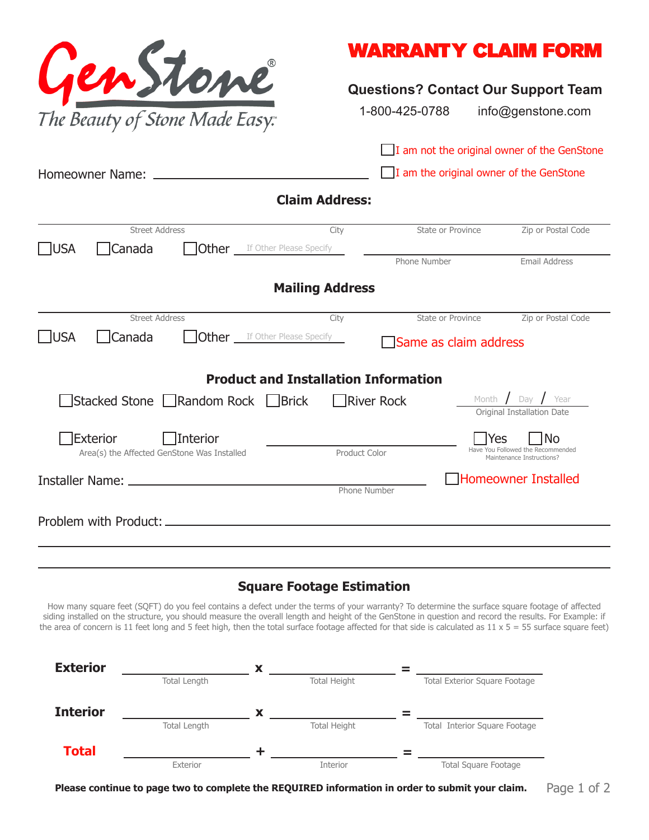

# WARRANTY CLAIM FORM

## **Questions? Contact Our Support Team**

1-800-425-0788 info@genstone.com

|                                                                      | I am not the original owner of the GenStone |                   |                                                                               |  |  |  |
|----------------------------------------------------------------------|---------------------------------------------|-------------------|-------------------------------------------------------------------------------|--|--|--|
|                                                                      | I am the original owner of the GenStone     |                   |                                                                               |  |  |  |
|                                                                      | <b>Claim Address:</b>                       |                   |                                                                               |  |  |  |
| <b>Street Address</b>                                                | City                                        | State or Province | Zip or Postal Code                                                            |  |  |  |
| <b>IUSA</b><br><b>Canada</b><br><b>Other</b> If Other Please Specify |                                             |                   |                                                                               |  |  |  |
|                                                                      |                                             | Phone Number      | Email Address                                                                 |  |  |  |
|                                                                      | <b>Mailing Address</b>                      |                   |                                                                               |  |  |  |
| <b>Street Address</b>                                                | City                                        | State or Province | Zip or Postal Code                                                            |  |  |  |
| <b>USA</b><br>Canada<br><b>Other</b> If Other Please Specify         | □Same as claim address                      |                   |                                                                               |  |  |  |
|                                                                      | <b>Product and Installation Information</b> |                   |                                                                               |  |  |  |
| Stacked Stone Random Rock Brick                                      | River Rock                                  |                   | Month $\int$ Day $\int$ Year<br>Original Installation Date                    |  |  |  |
| Exterior<br>Interior<br>Area(s) the Affected GenStone Was Installed  | Product Color                               |                   | <b>No</b><br>Yes<br>You Followed the Recommended<br>Maintenance Instructions? |  |  |  |
|                                                                      | Phone Number                                |                   | <b>Homeowner Installed</b>                                                    |  |  |  |
|                                                                      |                                             |                   |                                                                               |  |  |  |

### **Square Footage Estimation**

How many square feet (SQFT) do you feel contains a defect under the terms of your warranty? To determine the surface square footage of affected siding installed on the structure, you should measure the overall length and height of the GenStone in question and record the results. For Example: if the area of concern is 11 feet long and 5 feet high, then the total surface footage affected for that side is calculated as  $11 \times 5 = 55$  surface square feet)



Page 1 of 2 **Please continue to page two to complete the REQUIRED information in order to submit your claim.**